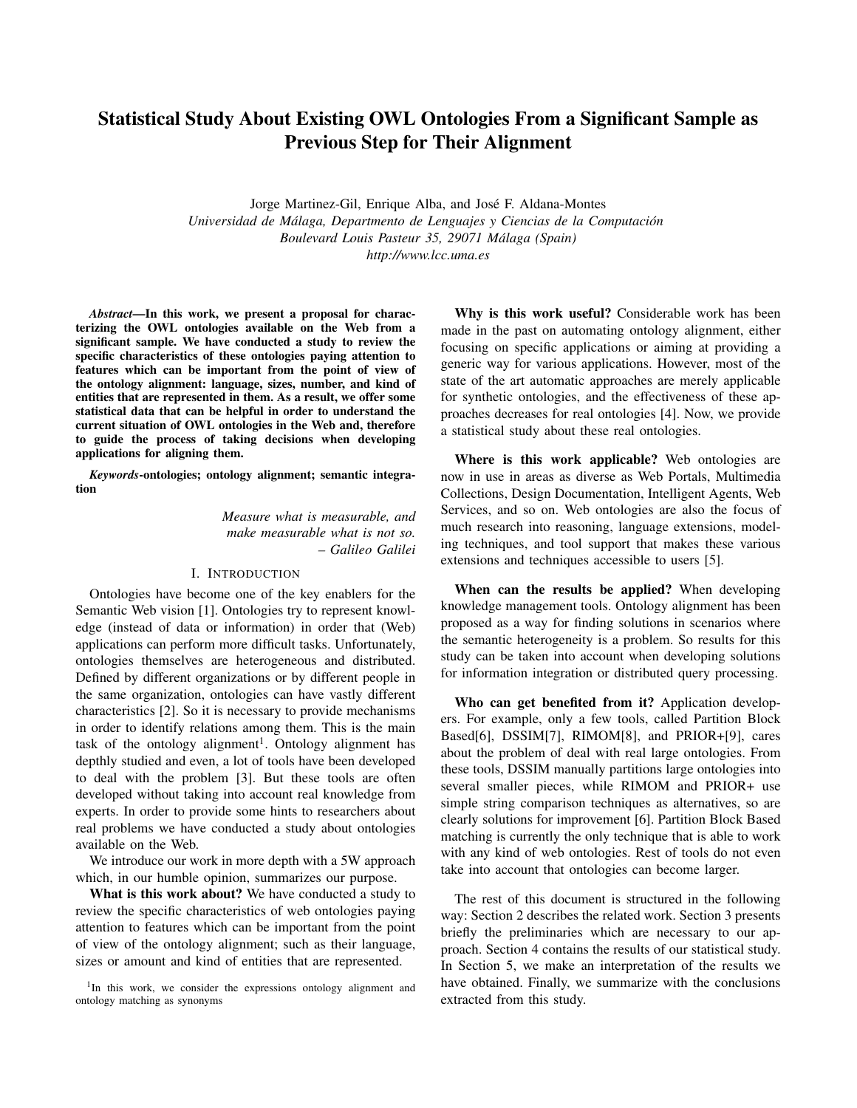# Statistical Study About Existing OWL Ontologies From a Significant Sample as Previous Step for Their Alignment

Jorge Martinez-Gil, Enrique Alba, and Jose F. Aldana-Montes ´ *Universidad de Malaga, Departmento de Lenguajes y Ciencias de la Computaci ´ on´ Boulevard Louis Pasteur 35, 29071 Malaga (Spain) ´ http://www.lcc.uma.es*

*Abstract*—In this work, we present a proposal for characterizing the OWL ontologies available on the Web from a significant sample. We have conducted a study to review the specific characteristics of these ontologies paying attention to features which can be important from the point of view of the ontology alignment: language, sizes, number, and kind of entities that are represented in them. As a result, we offer some statistical data that can be helpful in order to understand the current situation of OWL ontologies in the Web and, therefore to guide the process of taking decisions when developing applications for aligning them.

*Keywords*-ontologies; ontology alignment; semantic integration

> *Measure what is measurable, and make measurable what is not so. – Galileo Galilei*

## I. INTRODUCTION

Ontologies have become one of the key enablers for the Semantic Web vision [1]. Ontologies try to represent knowledge (instead of data or information) in order that (Web) applications can perform more difficult tasks. Unfortunately, ontologies themselves are heterogeneous and distributed. Defined by different organizations or by different people in the same organization, ontologies can have vastly different characteristics [2]. So it is necessary to provide mechanisms in order to identify relations among them. This is the main task of the ontology alignment<sup>1</sup>. Ontology alignment has depthly studied and even, a lot of tools have been developed to deal with the problem [3]. But these tools are often developed without taking into account real knowledge from experts. In order to provide some hints to researchers about real problems we have conducted a study about ontologies available on the Web.

We introduce our work in more depth with a 5W approach which, in our humble opinion, summarizes our purpose.

What is this work about? We have conducted a study to review the specific characteristics of web ontologies paying attention to features which can be important from the point of view of the ontology alignment; such as their language, sizes or amount and kind of entities that are represented.

<sup>1</sup>In this work, we consider the expressions ontology alignment and ontology matching as synonyms

Why is this work useful? Considerable work has been made in the past on automating ontology alignment, either focusing on specific applications or aiming at providing a generic way for various applications. However, most of the state of the art automatic approaches are merely applicable for synthetic ontologies, and the effectiveness of these approaches decreases for real ontologies [4]. Now, we provide a statistical study about these real ontologies.

Where is this work applicable? Web ontologies are now in use in areas as diverse as Web Portals, Multimedia Collections, Design Documentation, Intelligent Agents, Web Services, and so on. Web ontologies are also the focus of much research into reasoning, language extensions, modeling techniques, and tool support that makes these various extensions and techniques accessible to users [5].

When can the results be applied? When developing knowledge management tools. Ontology alignment has been proposed as a way for finding solutions in scenarios where the semantic heterogeneity is a problem. So results for this study can be taken into account when developing solutions for information integration or distributed query processing.

Who can get benefited from it? Application developers. For example, only a few tools, called Partition Block Based[6], DSSIM[7], RIMOM[8], and PRIOR+[9], cares about the problem of deal with real large ontologies. From these tools, DSSIM manually partitions large ontologies into several smaller pieces, while RIMOM and PRIOR+ use simple string comparison techniques as alternatives, so are clearly solutions for improvement [6]. Partition Block Based matching is currently the only technique that is able to work with any kind of web ontologies. Rest of tools do not even take into account that ontologies can become larger.

The rest of this document is structured in the following way: Section 2 describes the related work. Section 3 presents briefly the preliminaries which are necessary to our approach. Section 4 contains the results of our statistical study. In Section 5, we make an interpretation of the results we have obtained. Finally, we summarize with the conclusions extracted from this study.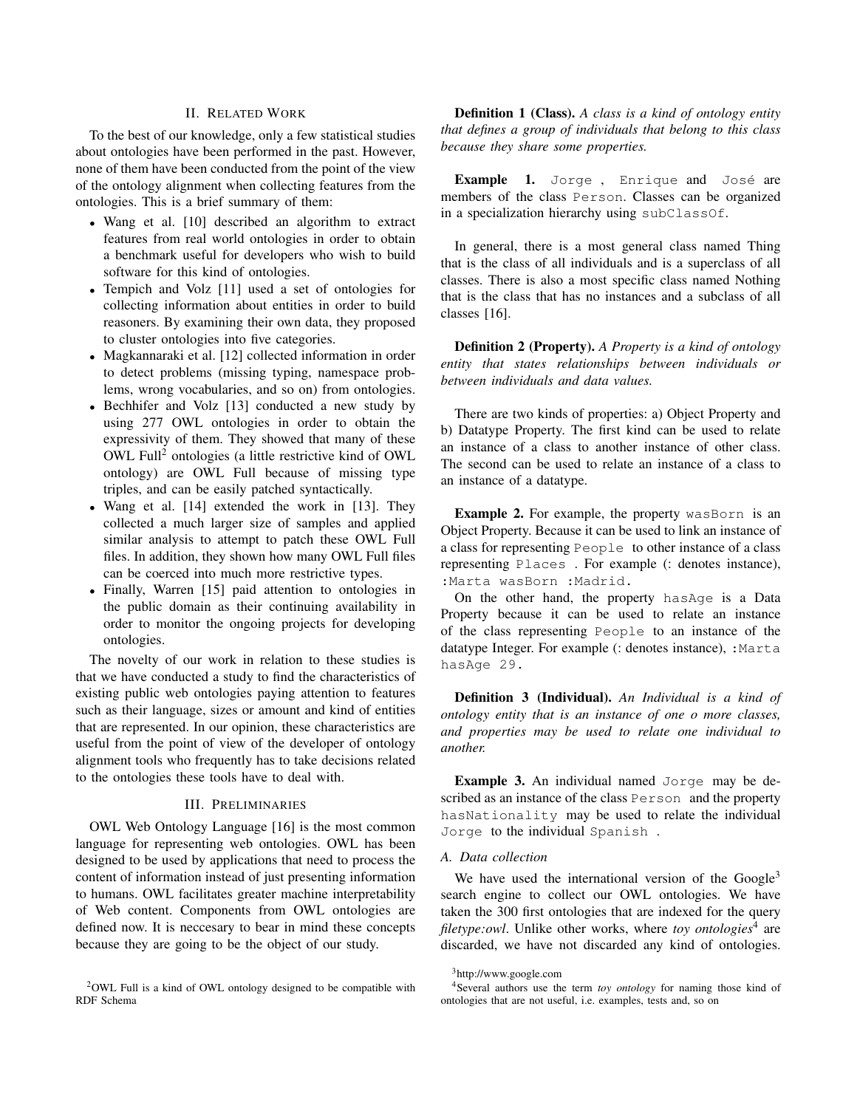# II. RELATED WORK

To the best of our knowledge, only a few statistical studies about ontologies have been performed in the past. However, none of them have been conducted from the point of the view of the ontology alignment when collecting features from the ontologies. This is a brief summary of them:

- Wang et al. [10] described an algorithm to extract features from real world ontologies in order to obtain a benchmark useful for developers who wish to build software for this kind of ontologies.
- Tempich and Volz [11] used a set of ontologies for collecting information about entities in order to build reasoners. By examining their own data, they proposed to cluster ontologies into five categories.
- Magkannaraki et al. [12] collected information in order to detect problems (missing typing, namespace problems, wrong vocabularies, and so on) from ontologies.
- Bechhifer and Volz [13] conducted a new study by using 277 OWL ontologies in order to obtain the expressivity of them. They showed that many of these OWL Full<sup>2</sup> ontologies (a little restrictive kind of OWL ontology) are OWL Full because of missing type triples, and can be easily patched syntactically.
- Wang et al. [14] extended the work in [13]. They collected a much larger size of samples and applied similar analysis to attempt to patch these OWL Full files. In addition, they shown how many OWL Full files can be coerced into much more restrictive types.
- Finally, Warren [15] paid attention to ontologies in the public domain as their continuing availability in order to monitor the ongoing projects for developing ontologies.

The novelty of our work in relation to these studies is that we have conducted a study to find the characteristics of existing public web ontologies paying attention to features such as their language, sizes or amount and kind of entities that are represented. In our opinion, these characteristics are useful from the point of view of the developer of ontology alignment tools who frequently has to take decisions related to the ontologies these tools have to deal with.

#### III. PRELIMINARIES

OWL Web Ontology Language [16] is the most common language for representing web ontologies. OWL has been designed to be used by applications that need to process the content of information instead of just presenting information to humans. OWL facilitates greater machine interpretability of Web content. Components from OWL ontologies are defined now. It is neccesary to bear in mind these concepts because they are going to be the object of our study.

Definition 1 (Class). *A class is a kind of ontology entity that defines a group of individuals that belong to this class because they share some properties.*

Example 1. Jorge, Enrique and José are members of the class Person. Classes can be organized in a specialization hierarchy using subClassOf.

In general, there is a most general class named Thing that is the class of all individuals and is a superclass of all classes. There is also a most specific class named Nothing that is the class that has no instances and a subclass of all classes [16].

Definition 2 (Property). *A Property is a kind of ontology entity that states relationships between individuals or between individuals and data values.*

There are two kinds of properties: a) Object Property and b) Datatype Property. The first kind can be used to relate an instance of a class to another instance of other class. The second can be used to relate an instance of a class to an instance of a datatype.

Example 2. For example, the property wasBorn is an Object Property. Because it can be used to link an instance of a class for representing People to other instance of a class representing Places . For example (: denotes instance), :Marta wasBorn :Madrid.

On the other hand, the property hasAge is a Data Property because it can be used to relate an instance of the class representing People to an instance of the datatype Integer. For example (: denotes instance), :Marta hasAge 29.

Definition 3 (Individual). *An Individual is a kind of ontology entity that is an instance of one o more classes, and properties may be used to relate one individual to another.*

Example 3. An individual named Jorge may be described as an instance of the class Person and the property hasNationality may be used to relate the individual Jorge to the individual Spanish .

# *A. Data collection*

We have used the international version of the  $Google<sup>3</sup>$ search engine to collect our OWL ontologies. We have taken the 300 first ontologies that are indexed for the query filetype:owl. Unlike other works, where *toy ontologies*<sup>4</sup> are discarded, we have not discarded any kind of ontologies.

<sup>2</sup>OWL Full is a kind of OWL ontology designed to be compatible with RDF Schema

<sup>3</sup>http://www.google.com

<sup>4</sup>Several authors use the term *toy ontology* for naming those kind of ontologies that are not useful, i.e. examples, tests and, so on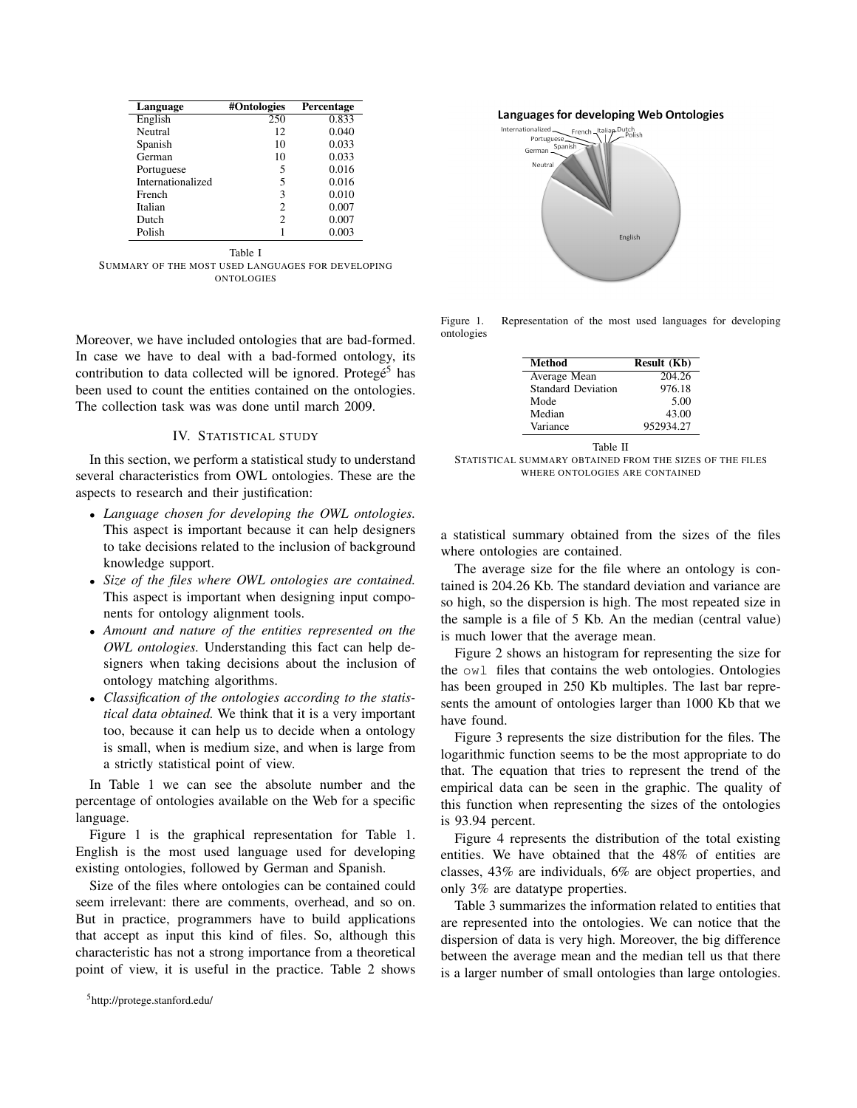| Language          | #Ontologies    | Percentage |
|-------------------|----------------|------------|
| English           | 250            | 0.833      |
| Neutral           | 12             | 0.040      |
| Spanish           | 10             | 0.033      |
| German            | 10             | 0.033      |
| Portuguese        | 5              | 0.016      |
| Internationalized | 5              | 0.016      |
| French            | 3              | 0.010      |
| Italian           | $\mathfrak{D}$ | 0.007      |
| Dutch             | 2              | 0.007      |
| Polish            |                | 0.003      |

Table I SUMMARY OF THE MOST USED LANGUAGES FOR DEVELOPING ONTOLOGIES

Moreover, we have included ontologies that are bad-formed. In case we have to deal with a bad-formed ontology, its contribution to data collected will be ignored. Protegé<sup>5</sup> has been used to count the entities contained on the ontologies. The collection task was was done until march 2009.

# IV. STATISTICAL STUDY

In this section, we perform a statistical study to understand several characteristics from OWL ontologies. These are the aspects to research and their justification:

- *Language chosen for developing the OWL ontologies.* This aspect is important because it can help designers to take decisions related to the inclusion of background knowledge support.
- *Size of the files where OWL ontologies are contained.* This aspect is important when designing input components for ontology alignment tools.
- *Amount and nature of the entities represented on the OWL ontologies.* Understanding this fact can help designers when taking decisions about the inclusion of ontology matching algorithms.
- *Classification of the ontologies according to the statistical data obtained.* We think that it is a very important too, because it can help us to decide when a ontology is small, when is medium size, and when is large from a strictly statistical point of view.

In Table 1 we can see the absolute number and the percentage of ontologies available on the Web for a specific language.

Figure 1 is the graphical representation for Table 1. English is the most used language used for developing existing ontologies, followed by German and Spanish.

Size of the files where ontologies can be contained could seem irrelevant: there are comments, overhead, and so on. But in practice, programmers have to build applications that accept as input this kind of files. So, although this characteristic has not a strong importance from a theoretical point of view, it is useful in the practice. Table 2 shows Languages for developing Web Ontologies



Figure 1. Representation of the most used languages for developing ontologies

| <b>Method</b>             | Result (Kb) |  |
|---------------------------|-------------|--|
| Average Mean              | 204.26      |  |
| <b>Standard Deviation</b> | 976.18      |  |
| Mode                      | 5.00        |  |
| Median                    | 43.00       |  |
| Variance                  | 952934.27   |  |

Table II

STATISTICAL SUMMARY ORTAINED FROM THE SIZES OF THE FILES WHERE ONTOLOGIES ARE CONTAINED

a statistical summary obtained from the sizes of the files where ontologies are contained.

The average size for the file where an ontology is contained is 204.26 Kb. The standard deviation and variance are so high, so the dispersion is high. The most repeated size in the sample is a file of 5 Kb. An the median (central value) is much lower that the average mean.

Figure 2 shows an histogram for representing the size for the owl files that contains the web ontologies. Ontologies has been grouped in 250 Kb multiples. The last bar represents the amount of ontologies larger than 1000 Kb that we have found.

Figure 3 represents the size distribution for the files. The logarithmic function seems to be the most appropriate to do that. The equation that tries to represent the trend of the empirical data can be seen in the graphic. The quality of this function when representing the sizes of the ontologies is 93.94 percent.

Figure 4 represents the distribution of the total existing entities. We have obtained that the 48% of entities are classes, 43% are individuals, 6% are object properties, and only 3% are datatype properties.

Table 3 summarizes the information related to entities that are represented into the ontologies. We can notice that the dispersion of data is very high. Moreover, the big difference between the average mean and the median tell us that there is a larger number of small ontologies than large ontologies.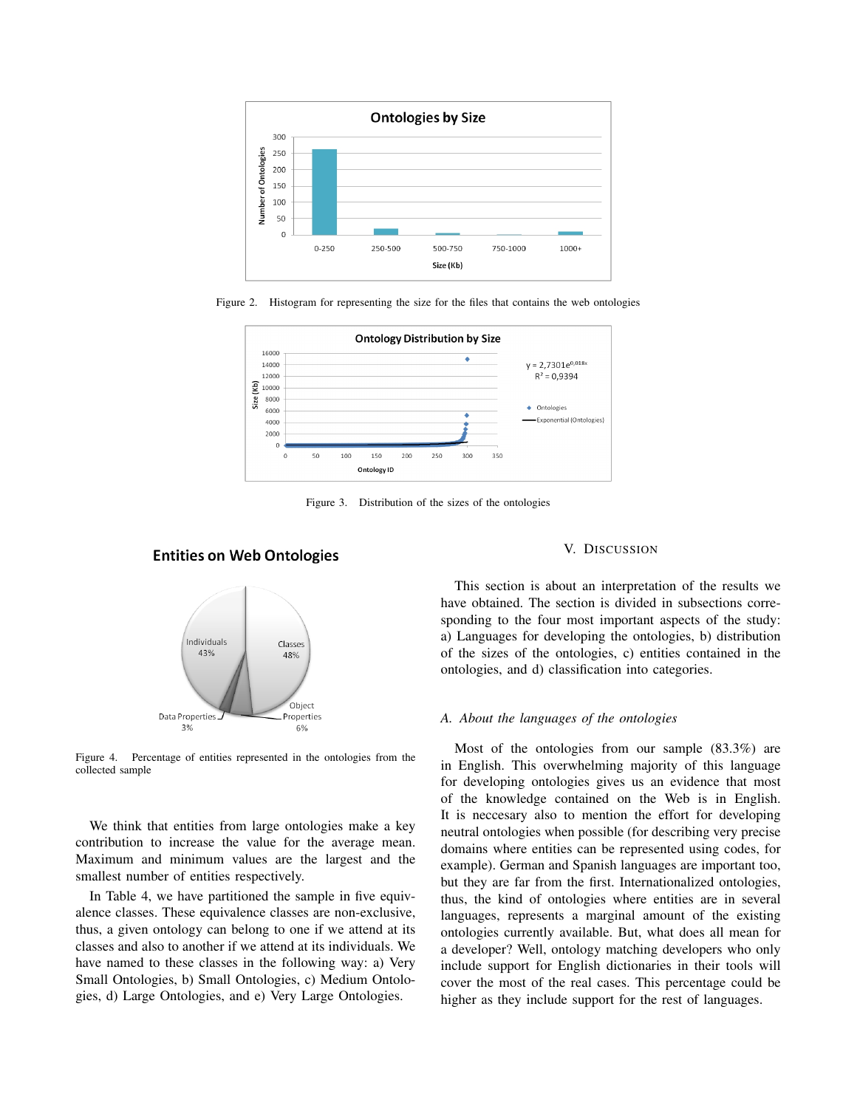

Figure 2. Histogram for representing the size for the files that contains the web ontologies



Figure 3. Distribution of the sizes of the ontologies

# **Entities on Web Ontologies**



Figure 4. Percentage of entities represented in the ontologies from the collected sample

We think that entities from large ontologies make a key contribution to increase the value for the average mean. Maximum and minimum values are the largest and the smallest number of entities respectively.

In Table 4, we have partitioned the sample in five equivalence classes. These equivalence classes are non-exclusive, thus, a given ontology can belong to one if we attend at its classes and also to another if we attend at its individuals. We have named to these classes in the following way: a) Very Small Ontologies, b) Small Ontologies, c) Medium Ontologies, d) Large Ontologies, and e) Very Large Ontologies.

#### V. DISCUSSION

This section is about an interpretation of the results we have obtained. The section is divided in subsections corresponding to the four most important aspects of the study: a) Languages for developing the ontologies, b) distribution of the sizes of the ontologies, c) entities contained in the ontologies, and d) classification into categories.

## *A. About the languages of the ontologies*

Most of the ontologies from our sample (83.3%) are in English. This overwhelming majority of this language for developing ontologies gives us an evidence that most of the knowledge contained on the Web is in English. It is neccesary also to mention the effort for developing neutral ontologies when possible (for describing very precise domains where entities can be represented using codes, for example). German and Spanish languages are important too, but they are far from the first. Internationalized ontologies, thus, the kind of ontologies where entities are in several languages, represents a marginal amount of the existing ontologies currently available. But, what does all mean for a developer? Well, ontology matching developers who only include support for English dictionaries in their tools will cover the most of the real cases. This percentage could be higher as they include support for the rest of languages.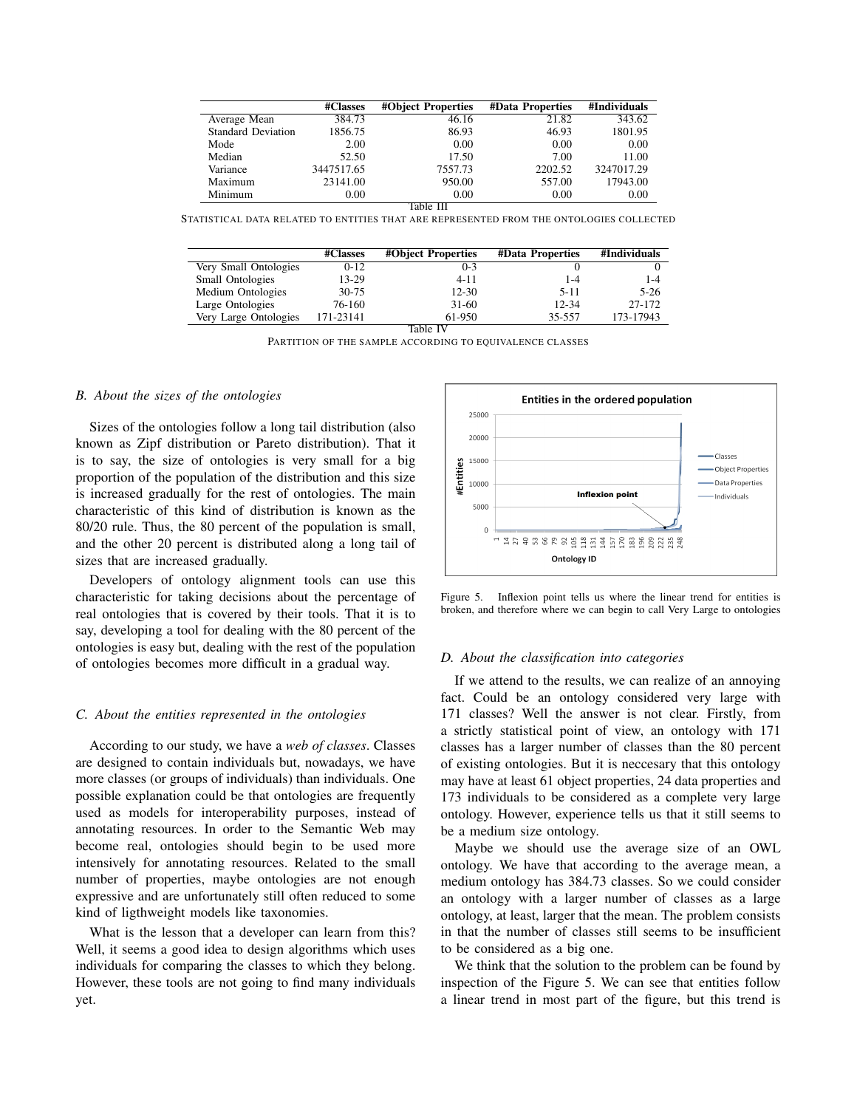|                           | #Classes   | #Object Properties | <b>#Data Properties</b> | #Individuals |  |  |
|---------------------------|------------|--------------------|-------------------------|--------------|--|--|
| Average Mean              | 384.73     | 46.16              | 21.82                   | 343.62       |  |  |
| <b>Standard Deviation</b> | 1856.75    | 86.93              | 46.93                   | 1801.95      |  |  |
| Mode                      | 2.00       | 0.00               | 0.00                    | 0.00         |  |  |
| Median                    | 52.50      | 17.50              | 7.00                    | 11.00        |  |  |
| Variance                  | 3447517.65 | 7557.73            | 2202.52                 | 3247017.29   |  |  |
| Maximum                   | 23141.00   | 950.00             | 557.00                  | 17943.00     |  |  |
| Minimum                   | 0.00       | 0.00               | 0.00                    | 0.00         |  |  |
| Table III                 |            |                    |                         |              |  |  |

STATISTICAL DATA RELATED TO ENTITIES THAT ARE REPRESENTED FROM THE ONTOLOGIES COLLECTED

|                         | #Classes  | #Object Properties | <b>#Data Properties</b> | #Individuals |  |  |
|-------------------------|-----------|--------------------|-------------------------|--------------|--|--|
| Very Small Ontologies   | $0 - 12$  | $0 - 3$            |                         |              |  |  |
| <b>Small Ontologies</b> | 13-29     | $4 - 11$           | 1-4                     | $1 - 4$      |  |  |
| Medium Ontologies       | $30 - 75$ | $12 - 30$          | $5 - 11$                | $5 - 26$     |  |  |
| Large Ontologies        | 76-160    | $31-60$            | 12-34                   | 27-172       |  |  |
| Very Large Ontologies   | 171-23141 | 61-950             | 35-557                  | 173-17943    |  |  |
| Table IV                |           |                    |                         |              |  |  |

PARTITION OF THE SAMPLE ACCORDING TO EQUIVALENCE CLASSES

#### *B. About the sizes of the ontologies*

Sizes of the ontologies follow a long tail distribution (also known as Zipf distribution or Pareto distribution). That it is to say, the size of ontologies is very small for a big proportion of the population of the distribution and this size is increased gradually for the rest of ontologies. The main characteristic of this kind of distribution is known as the 80/20 rule. Thus, the 80 percent of the population is small, and the other 20 percent is distributed along a long tail of sizes that are increased gradually.

Developers of ontology alignment tools can use this characteristic for taking decisions about the percentage of real ontologies that is covered by their tools. That it is to say, developing a tool for dealing with the 80 percent of the ontologies is easy but, dealing with the rest of the population of ontologies becomes more difficult in a gradual way.

#### *C. About the entities represented in the ontologies*

According to our study, we have a *web of classes*. Classes are designed to contain individuals but, nowadays, we have more classes (or groups of individuals) than individuals. One possible explanation could be that ontologies are frequently used as models for interoperability purposes, instead of annotating resources. In order to the Semantic Web may become real, ontologies should begin to be used more intensively for annotating resources. Related to the small number of properties, maybe ontologies are not enough expressive and are unfortunately still often reduced to some kind of ligthweight models like taxonomies.

What is the lesson that a developer can learn from this? Well, it seems a good idea to design algorithms which uses individuals for comparing the classes to which they belong. However, these tools are not going to find many individuals yet.



Figure 5. Inflexion point tells us where the linear trend for entities is broken, and therefore where we can begin to call Very Large to ontologies

#### *D. About the classification into categories*

If we attend to the results, we can realize of an annoying fact. Could be an ontology considered very large with 171 classes? Well the answer is not clear. Firstly, from a strictly statistical point of view, an ontology with 171 classes has a larger number of classes than the 80 percent of existing ontologies. But it is neccesary that this ontology may have at least 61 object properties, 24 data properties and 173 individuals to be considered as a complete very large ontology. However, experience tells us that it still seems to be a medium size ontology.

Maybe we should use the average size of an OWL ontology. We have that according to the average mean, a medium ontology has 384.73 classes. So we could consider an ontology with a larger number of classes as a large ontology, at least, larger that the mean. The problem consists in that the number of classes still seems to be insufficient to be considered as a big one.

We think that the solution to the problem can be found by inspection of the Figure 5. We can see that entities follow a linear trend in most part of the figure, but this trend is